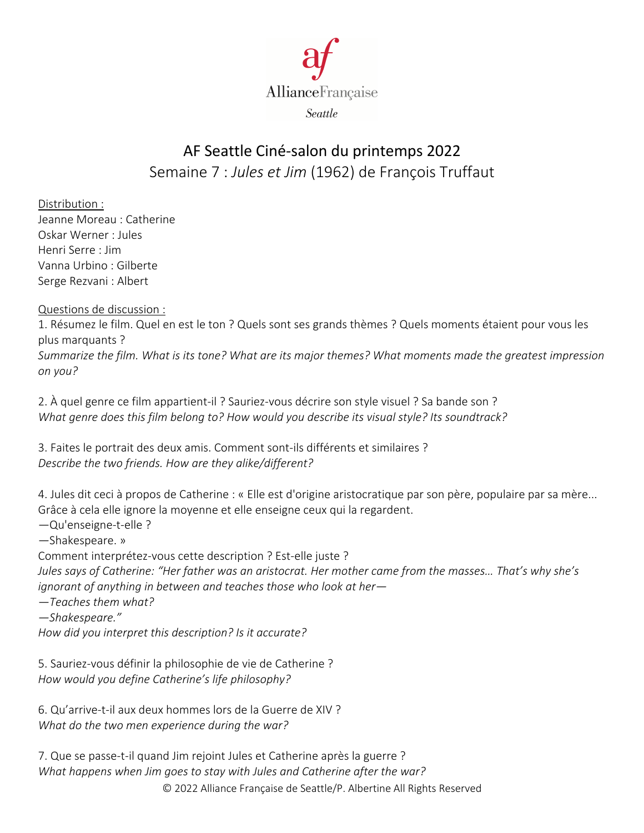

## AF Seattle Ciné-salon du printemps 2022 Semaine 7 : *Jules et Jim* (1962) de François Truffaut

Distribution : Jeanne Moreau : Catherine Oskar Werner : Jules Henri Serre : Jim Vanna Urbino : Gilberte Serge Rezvani : Albert

Questions de discussion :

1. Résumez le film. Quel en est le ton ? Quels sont ses grands thèmes ? Quels moments étaient pour vous les plus marquants ?

*Summarize the film. What is its tone? What are its major themes? What moments made the greatest impression on you?*

2. À quel genre ce film appartient-il ? Sauriez-vous décrire son style visuel ? Sa bande son ? *What genre does this film belong to? How would you describe its visual style? Its soundtrack?*

3. Faites le portrait des deux amis. Comment sont-ils différents et similaires ? *Describe the two friends. How are they alike/different?*

4. Jules dit ceci à propos de Catherine : « Elle est d'origine aristocratique par son père, populaire par sa mère... Grâce à cela elle ignore la moyenne et elle enseigne ceux qui la regardent.

*—*Qu'enseigne-t-elle ?

*—*Shakespeare. »

Comment interprétez-vous cette description ? Est-elle juste ?

*Jules says of Catherine: "Her father was an aristocrat. Her mother came from the masses… That's why she's ignorant of anything in between and teaches those who look at her—*

*—Teaches them what?*

*—Shakespeare."*

*How did you interpret this description? Is it accurate?*

5. Sauriez-vous définir la philosophie de vie de Catherine ? *How would you define Catherine's life philosophy?*

6. Qu'arrive-t-il aux deux hommes lors de la Guerre de XIV ? *What do the two men experience during the war?*

7. Que se passe-t-il quand Jim rejoint Jules et Catherine après la guerre ? *What happens when Jim goes to stay with Jules and Catherine after the war?*

© 2022 Alliance Française de Seattle/P. Albertine All Rights Reserved